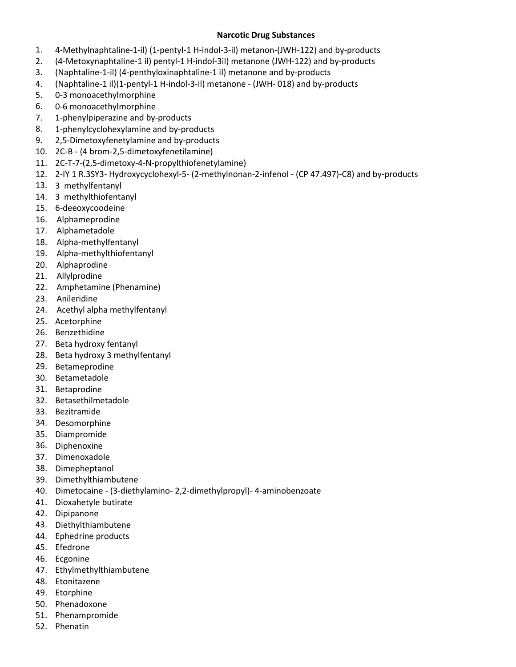## **Narcotic Drug Substances**

- 1. 4-Methylnaphtaline-1-il) (1-pentyl-1 H-indol-3-il) metanon-(JWH-122) and by-products
- 2. (4-Metoxynaphtaline-1 il) pentyl-1 H-indol-3il) metanone (JWH-122) and by-products
- 3. (Naphtaline-1-il) (4-penthyloxinaphtaline-1 il) metanone and by-products
- 4. (Naphtaline-1 il)(1-pentyl-1 H-indol-3-il) metanone (JWH- 018) and by-products
- 5. 0-3 monoacethylmorphine
- 6. 0-6 monoacethylmorphine
- 7. 1-phenylpiperazine and by-products
- 8. 1-phenylcyclohexylamine and by-products
- 9. 2,5-Dimetoxyfenetylamine and by-products
- 10. 2C-B (4 brom-2,5-dimetoxyfenetilamine)
- 11. 2C-T-7-(2,5-dimetoxy-4-N-propylthiofenetylamine)
- 12. 2-IY 1 R.3SY3- Hydroxycyclohexyl-5- (2-methylnonan-2-infenol (CP 47.497)-C8) and by-products
- 13. 3 methylfentanyl
- 14. 3 methylthiofentanyl
- 15. 6-deeoxycoodeine
- 16. Alphameprodine
- 17. Alphametadole
- 18. Alpha-methylfentanyl
- 19. Alpha-methylthiofentanyl
- 20. Alphaprodine
- 21. Allylprodine
- 22. Amphetamine (Phenamine)
- 23. Anileridine
- 24. Acethyl alpha methylfentanyl
- 25. Acetorphine
- 26. Benzethidine
- 27. Beta hydroxy fentanyl
- 28. Beta hydroxy 3 methylfentanyl
- 29. Betameprodine
- 30. Betametadole
- 31. Betaprodine
- 32. Betasethilmetadole
- 33. Bezitramide
- 34. Desomorphine
- 35. Diampromide
- 36. Diphenoxine
- 37. Dimenoxadole
- 38. Dimepheptanol
- 39. Dimethylthiambutene
- 40. Dimetocaine (3-diethylamino- 2,2-dimethylpropyl)- 4-aminobenzoate
- 41. Dioxahetyle butirate
- 42. Dipipanone
- 43. Diethylthiambutene
- 44. Ephedrine products
- 45. Efedrone
- 46. Ecgonine
- 47. Ethylmethylthiambutene
- 48. Etonitazene
- 49. Etorphine
- 50. Phenadoxone
- 51. Phenampromide
- 52. Phenatin